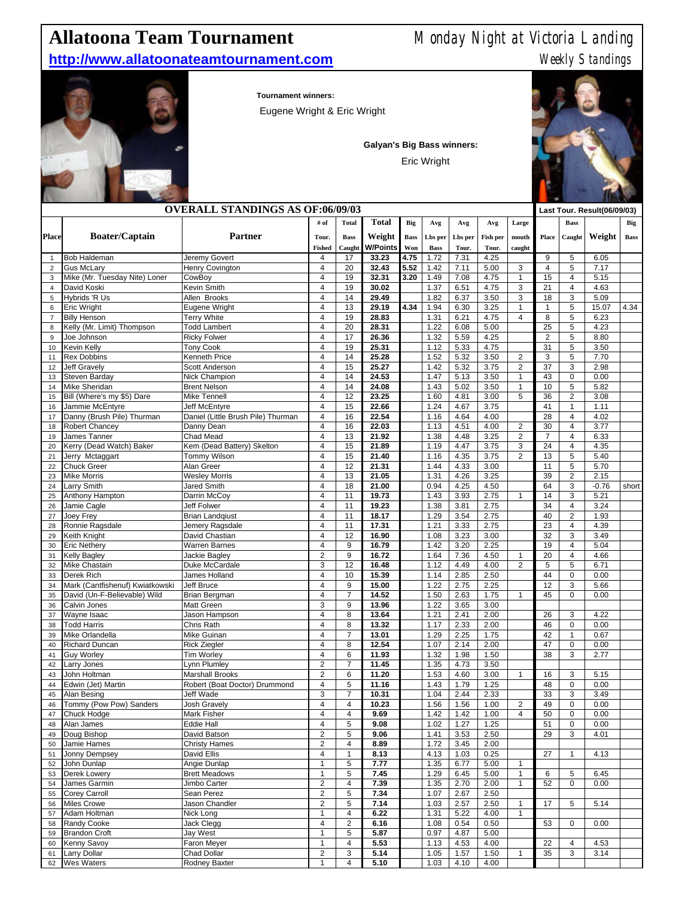## **Allatoona Team Tournament** Monday Night at Victoria Landing

## **http://www.allatoonateamtournament.com** Meekly Standings

**Tournament winners:**

Eugene Wright & Eric Wright

**Galyan's Big Bass winners:**

Eric Wright



|                | <b>OVERALL STANDINGS AS OF:06/09/03</b>            |                                     |                              |                              |                |             |              |              |              | Last Tour. Result(06/09/03) |                |                         |                 |             |
|----------------|----------------------------------------------------|-------------------------------------|------------------------------|------------------------------|----------------|-------------|--------------|--------------|--------------|-----------------------------|----------------|-------------------------|-----------------|-------------|
|                |                                                    |                                     | # of                         | <b>Total</b>                 | <b>Total</b>   | Big         | Avg          | Avg          | Avg          | Large                       |                | <b>Bass</b>             |                 | Big         |
| <b>Place</b>   | <b>Boater/Captain</b>                              | Partner                             | Tour.                        | <b>Bass</b>                  | Weight         | <b>Bass</b> | Lbs per      | Lbs per      | Fish per     | mouth                       | Place          | Caught                  | Weight          | <b>Bass</b> |
|                |                                                    |                                     | <b>Fished</b>                | Caught                       | W/Points       | Won         | <b>Bass</b>  | Tour.        | Tour.        | caught                      |                |                         |                 |             |
| $\mathbf{1}$   | <b>Bob Haldeman</b>                                | Jeremy Govert                       | 4                            | 17                           | 33.23          | 4.75        | 1.72         | 7.31         | 4.25         |                             | 9              | 5                       | 6.05            |             |
| $\overline{2}$ | <b>Gus McLary</b>                                  | Henry Covington                     | 4                            | 20                           | 32.43          | 5.52        | 1.42         | 7.11         | 5.00         | 3                           | $\overline{4}$ | 5                       | 7.17            |             |
| 3              | Mike (Mr. Tuesday Nite) Loner                      | CowBov                              | 4                            | 19                           | 32.31          | 3.20        | 1.49         | 7.08         | 4.75         | 1                           | 15             | $\overline{4}$          | 5.15            |             |
| $\overline{4}$ | David Koski                                        | Kevin Smith<br>Allen Brooks         | 4<br>4                       | 19<br>14                     | 30.02<br>29.49 |             | 1.37         | 6.51         | 4.75<br>3.50 | 3<br>3                      | 21<br>18       | $\overline{4}$<br>3     | 4.63<br>5.09    |             |
| 5<br>6         | Hybrids 'R Us<br><b>Eric Wright</b>                | Eugene Wright                       | 4                            | 13                           | 29.19          | 4.34        | 1.82<br>1.94 | 6.37<br>6.30 | 3.25         | 1                           | 1              | 5                       | 15.07           | 4.34        |
| $\overline{7}$ | <b>Billy Henson</b>                                | <b>Terry White</b>                  | 4                            | 19                           | 28.83          |             | 1.31         | 6.21         | 4.75         | $\overline{\mathbf{4}}$     | 8              | 5                       | 6.23            |             |
| 8              | Kelly (Mr. Limit) Thompson                         | <b>Todd Lambert</b>                 | 4                            | 20                           | 28.31          |             | 1.22         | 6.08         | 5.00         |                             | 25             | 5                       | 4.23            |             |
| 9              | Joe Johnson                                        | <b>Ricky Folwer</b>                 | 4                            | 17                           | 26.36          |             | 1.32         | 5.59         | 4.25         |                             | $\overline{2}$ | 5                       | 8.80            |             |
| 10             | Kevin Kelly                                        | <b>Tony Cook</b>                    | 4                            | 19                           | 25.31          |             | 1.12         | 5.33         | 4.75         |                             | 31             | 5                       | 3.50            |             |
| 11             | <b>Rex Dobbins</b>                                 | Kenneth Price                       | 4                            | 14                           | 25.28          |             | 1.52         | 5.32         | 3.50         | 2                           | 3              | 5                       | 7.70            |             |
| 12             | <b>Jeff Gravely</b>                                | <b>Scott Anderson</b>               | 4                            | 15                           | 25.27          |             | 1.42         | 5.32         | 3.75         | $\overline{2}$              | 37             | 3                       | 2.98            |             |
| 13             | Steven Barday                                      | Nick Champion                       | 4<br>4                       | 14                           | 24.53          |             | 1.47         | 5.13         | 3.50         | 1                           | 43             | 0<br>5                  | 0.00            |             |
| 14<br>15       | <b>Mike Sheridan</b><br>Bill (Where's my \$5) Dare | <b>Brent Nelson</b><br>Mike Tennell | 4                            | 14<br>12                     | 24.08<br>23.25 |             | 1.43<br>1.60 | 5.02<br>4.81 | 3.50<br>3.00 | 1<br>5                      | 10<br>36       | $\overline{2}$          | 5.82<br>3.08    |             |
| 16             | Jammie McEntyre                                    | Jeff McEntyre                       | 4                            | 15                           | 22.66          |             | 1.24         | 4.67         | 3.75         |                             | 41             | $\mathbf{1}$            | 1.11            |             |
| 17             | Danny (Brush Pile) Thurman                         | Daniel (Little Brush Pile) Thurman  | 4                            | 16                           | 22.54          |             | 1.16         | 4.64         | 4.00         |                             | 28             | $\overline{4}$          | 4.02            |             |
| 18             | <b>Robert Chancey</b>                              | Danny Dean                          | $\overline{4}$               | 16                           | 22.03          |             | 1.13         | 4.51         | 4.00         | 2                           | 30             | 4                       | 3.77            |             |
| 19             | James Tanner                                       | Chad Mead                           | 4                            | 13                           | 21.92          |             | 1.38         | 4.48         | 3.25         | $\overline{c}$              | $\overline{7}$ | 4                       | 6.33            |             |
| 20             | Kerry (Dead Watch) Baker                           | Kem (Dead Battery) Skelton          | 4                            | 15                           | 21.89          |             | 1.19         | 4.47         | 3.75         | 3                           | 24             | 4                       | 4.35            |             |
| 21             | Jerry Mctaggart                                    | Tommy Wilson                        | 4                            | 15                           | 21.40          |             | 1.16         | 4.35         | 3.75         | $\overline{\mathbf{c}}$     | 13             | 5                       | 5.40            |             |
| 22             | <b>Chuck Greer</b>                                 | Alan Greer                          | 4                            | 12                           | 21.31          |             | 1.44         | 4.33         | 3.00         |                             | 11             | 5                       | 5.70            |             |
| 23             | <b>Mike Morris</b>                                 | <b>Wesley Morris</b>                | 4                            | 13                           | 21.05          |             | 1.31         | 4.26         | 3.25         |                             | 39             | $\overline{2}$          | 2.15            |             |
| 24<br>25       | Larry Smith<br>Anthony Hampton                     | Jared Smith<br>Darrin McCoy         | 4<br>4                       | 18<br>11                     | 21.00<br>19.73 |             | 0.94<br>1.43 | 4.25<br>3.93 | 4.50<br>2.75 | $\mathbf{1}$                | 64<br>14       | 3<br>3                  | $-0.76$<br>5.21 | short       |
| 26             | Jamie Cagle                                        | Jeff Folwer                         | 4                            | 11                           | 19.23          |             | 1.38         | 3.81         | 2.75         |                             | 34             | 4                       | 3.24            |             |
| 27             | Joey Frey                                          | <b>Brian Landqiust</b>              | 4                            | 11                           | 18.17          |             | 1.29         | 3.54         | 2.75         |                             | 40             | $\overline{2}$          | 1.93            |             |
| 28             | Ronnie Ragsdale                                    | Jemery Ragsdale                     | 4                            | 11                           | 17.31          |             | 1.21         | 3.33         | 2.75         |                             | 23             | 4                       | 4.39            |             |
| 29             | Keith Knight                                       | David Chastian                      | 4                            | 12                           | 16.90          |             | 1.08         | 3.23         | 3.00         |                             | 32             | 3                       | 3.49            |             |
| 30             | <b>Eric Nethery</b>                                | <b>Warren Barnes</b>                | 4                            | 9                            | 16.79          |             | 1.42         | 3.20         | 2.25         |                             | 19             | $\overline{\mathbf{4}}$ | 5.04            |             |
| 31             | <b>Kelly Bagley</b>                                | Jackie Bagley                       | $\overline{\mathbf{c}}$      | 9                            | 16.72          |             | 1.64         | 7.36         | 4.50         | 1                           | 20             | 4                       | 4.66            |             |
| 32             | Mike Chastain                                      | Duke McCardale                      | 3                            | 12                           | 16.48          |             | 1.12         | 4.49         | 4.00         | $\overline{c}$              | 5              | 5                       | 6.71            |             |
| 33             | Derek Rich                                         | James Holland                       | 4                            | 10                           | 15.39          |             | 1.14         | 2.85         | 2.50         |                             | 44             | 0                       | 0.00            |             |
| 34             | Mark (Cantfishenuf) Kwiatkowski                    | Jeff Bruce                          | 4                            | 9                            | 15.00          |             | 1.22         | 2.75         | 2.25         |                             | 12             | 3                       | 5.66            |             |
| 35<br>36       | David (Un-F-Believable) Wild<br>Calvin Jones       | Brian Bergman<br><b>Matt Green</b>  | 4<br>3                       | $\overline{7}$<br>9          | 14.52<br>13.96 |             | 1.50<br>1.22 | 2.63<br>3.65 | 1.75<br>3.00 | $\mathbf{1}$                | 45             | 0                       | 0.00            |             |
| 37             | Wayne Isaac                                        | Jason Hampson                       | 4                            | 8                            | 13.64          |             | 1.21         | 2.41         | 2.00         |                             | 26             | 3                       | 4.22            |             |
| 38             | <b>Todd Harris</b>                                 | Chris Rath                          | 4                            | 8                            | 13.32          |             | 1.17         | 2.33         | 2.00         |                             | 46             | 0                       | 0.00            |             |
| 39             | Mike Orlandella                                    | Mike Guinan                         | 4                            | $\overline{7}$               | 13.01          |             | 1.29         | 2.25         | 1.75         |                             | 42             | $\mathbf{1}$            | 0.67            |             |
| 40             | <b>Richard Duncan</b>                              | <b>Rick Ziegler</b>                 | 4                            | 8                            | 12.54          |             | 1.07         | 2.14         | 2.00         |                             | 47             | 0                       | 0.00            |             |
| 41             | <b>Guy Worley</b>                                  | Tim Worley                          | 4                            | 6                            | 11.93          |             | 1.32         | 1.98         | 1.50         |                             | 38             | 3                       | 2.77            |             |
| 42             | Larry Jones                                        | Lynn Plumley                        | $\overline{2}$               | 7                            | 11.45          |             | 1.35         | 4.73         | 3.50         |                             |                |                         |                 |             |
| 43             | John Holtman                                       | <b>Marshall Brooks</b>              | $\overline{2}$               | 6                            | 11.20          |             | 1.53         | 4.60         | 3.00         | 1                           | 16             | 3                       | 5.15            |             |
| 44             | Edwin (Jet) Martin                                 | Robert (Boat Doctor) Drummond       | 4                            | 5                            | 11.16          |             | 1.43         | 1.79         | 1.25         |                             | 48             | 0                       | 0.00            |             |
| 45             | Alan Besing                                        | Jeff Wade                           | 3<br>$\overline{\mathbf{4}}$ | $\overline{7}$               | 10.31          |             | 1.04         | 2.44         | 2.33         |                             | 33<br>49       | 3<br>$\Omega$           | 3.49            |             |
| 46<br>47       | Tommy (Pow Pow) Sanders<br>Chuck Hodge             | Josh Gravely<br>Mark Fisher         | 4                            | 4<br>4                       | 10.23<br>9.69  |             | 1.56<br>1.42 | 1.56<br>1.42 | 1.00<br>1.00 | $\overline{c}$<br>4         | 50             | 0                       | 0.00<br>0.00    |             |
| 48             | Alan James                                         | Eddie Hall                          | 4                            | 5                            | 9.08           |             | 1.02         | 1.27         | 1.25         |                             | 51             | 0                       | 0.00            |             |
| 49             | Doug Bishop                                        | David Batson                        | $\overline{2}$               | 5                            | 9.06           |             | 1.41         | 3.53         | 2.50         |                             | 29             | 3                       | 4.01            |             |
| 50             | Jamie Hames                                        | <b>Christy Hames</b>                | $\overline{c}$               | 4                            | 8.89           |             | 1.72         | 3.45         | 2.00         |                             |                |                         |                 |             |
| 51             | Jonny Dempsey                                      | David Ellis                         | 4                            | 1                            | 8.13           |             | 4.13         | 1.03         | 0.25         |                             | 27             | $\mathbf{1}$            | 4.13            |             |
| 52             | John Dunlap                                        | Angie Dunlap                        | 1                            | 5                            | 7.77           |             | 1.35         | 6.77         | 5.00         | 1                           |                |                         |                 |             |
| 53             | Derek Lowery                                       | <b>Brett Meadows</b>                | $\mathbf{1}$                 | 5                            | 7.45           |             | 1.29         | 6.45         | 5.00         | $\mathbf{1}$                | 6              | 5                       | 6.45            |             |
| 54             | James Garmin                                       | Jimbo Carter                        | $\overline{c}$               | $\overline{4}$               | 7.39           |             | 1.35         | 2.70         | 2.00         | 1                           | 52             | 0                       | 0.00            |             |
| 55             | Corey Carroll                                      | Sean Perez                          | $\overline{\mathbf{c}}$      | 5                            | 7.34           |             | 1.07         | 2.67         | 2.50         |                             |                |                         |                 |             |
| 56             | <b>Miles Crowe</b>                                 | Jason Chandler                      | $\overline{c}$               | 5                            | 7.14           |             | 1.03         | 2.57         | 2.50         | 1                           | 17             | 5                       | 5.14            |             |
| 57             | Adam Holtman                                       | Nick Long                           | 1                            | 4                            | 6.22           |             | 1.31         | 5.22         | 4.00         | 1                           |                |                         |                 |             |
| 58<br>59       | Randy Cooke<br><b>Brandon Croft</b>                | Jack Clegg<br>Jay West              | 4<br>1                       | $\overline{\mathbf{c}}$<br>5 | 6.16<br>5.87   |             | 1.08<br>0.97 | 0.54<br>4.87 | 0.50<br>5.00 |                             | 53             | 0                       | 0.00            |             |
| 60             | Kenny Savoy                                        | Faron Meyer                         | 1                            | $\overline{4}$               | 5.53           |             | 1.13         | 4.53         | 4.00         |                             | 22             | 4                       | 4.53            |             |
| 61             | Larry Dollar                                       | Chad Dollar                         | $\overline{\mathbf{c}}$      | 3                            | 5.14           |             | 1.05         | 1.57         | 1.50         | 1                           | 35             | 3                       | 3.14            |             |
| 62             | <b>Wes Waters</b>                                  | Rodney Baxter                       | 1                            | 4                            | 5.10           |             | 1.03         | 4.10         | 4.00         |                             |                |                         |                 |             |